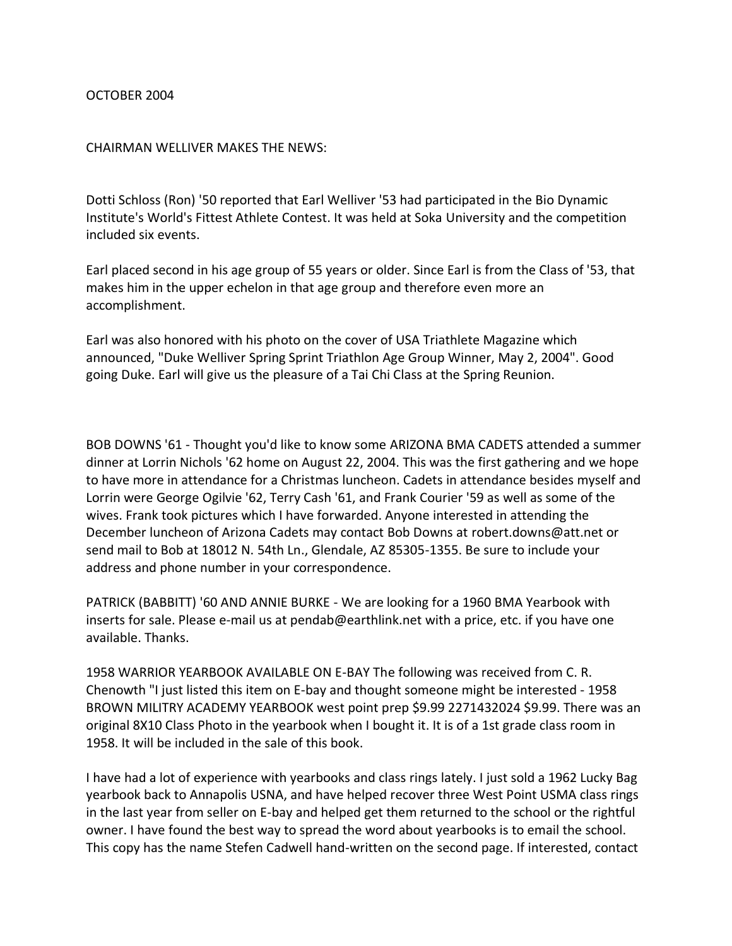## OCTOBER 2004

## CHAIRMAN WELLIVER MAKES THE NEWS:

Dotti Schloss (Ron) '50 reported that Earl Welliver '53 had participated in the Bio Dynamic Institute's World's Fittest Athlete Contest. It was held at Soka University and the competition included six events.

Earl placed second in his age group of 55 years or older. Since Earl is from the Class of '53, that makes him in the upper echelon in that age group and therefore even more an accomplishment.

Earl was also honored with his photo on the cover of USA Triathlete Magazine which announced, "Duke Welliver Spring Sprint Triathlon Age Group Winner, May 2, 2004". Good going Duke. Earl will give us the pleasure of a Tai Chi Class at the Spring Reunion.

BOB DOWNS '61 - Thought you'd like to know some ARIZONA BMA CADETS attended a summer dinner at Lorrin Nichols '62 home on August 22, 2004. This was the first gathering and we hope to have more in attendance for a Christmas luncheon. Cadets in attendance besides myself and Lorrin were George Ogilvie '62, Terry Cash '61, and Frank Courier '59 as well as some of the wives. Frank took pictures which I have forwarded. Anyone interested in attending the December luncheon of Arizona Cadets may contact Bob Downs at robert.downs@att.net or send mail to Bob at 18012 N. 54th Ln., Glendale, AZ 85305-1355. Be sure to include your address and phone number in your correspondence.

PATRICK (BABBITT) '60 AND ANNIE BURKE - We are looking for a 1960 BMA Yearbook with inserts for sale. Please e-mail us at pendab@earthlink.net with a price, etc. if you have one available. Thanks.

1958 WARRIOR YEARBOOK AVAILABLE ON E-BAY The following was received from C. R. Chenowth "I just listed this item on E-bay and thought someone might be interested - 1958 BROWN MILITRY ACADEMY YEARBOOK west point prep \$9.99 2271432024 \$9.99. There was an original 8X10 Class Photo in the yearbook when I bought it. It is of a 1st grade class room in 1958. It will be included in the sale of this book.

I have had a lot of experience with yearbooks and class rings lately. I just sold a 1962 Lucky Bag yearbook back to Annapolis USNA, and have helped recover three West Point USMA class rings in the last year from seller on E-bay and helped get them returned to the school or the rightful owner. I have found the best way to spread the word about yearbooks is to email the school. This copy has the name Stefen Cadwell hand-written on the second page. If interested, contact